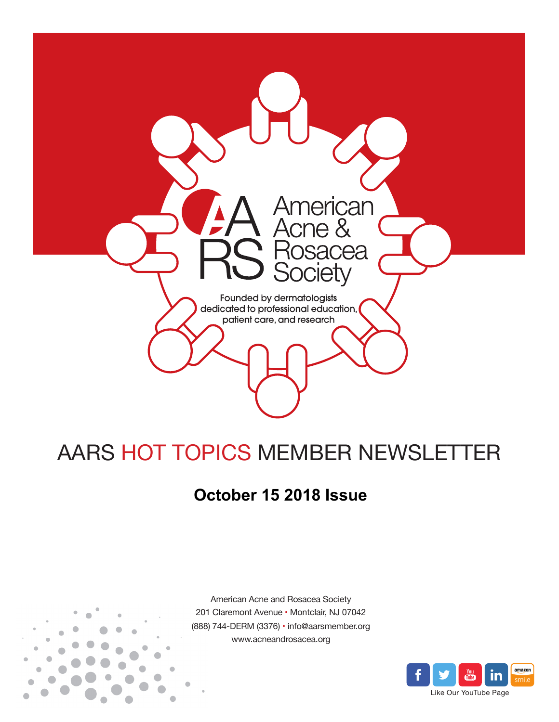

# AARS HOT TOPICS MEMBER NEWSLETTER

## **October 15 2018 Issue**



American Acne and Rosacea Society 201 Claremont Avenue • Montclair, NJ 07042 (888) 744-DERM (3376) • info@aarsmember.org www.acneandrosacea.org

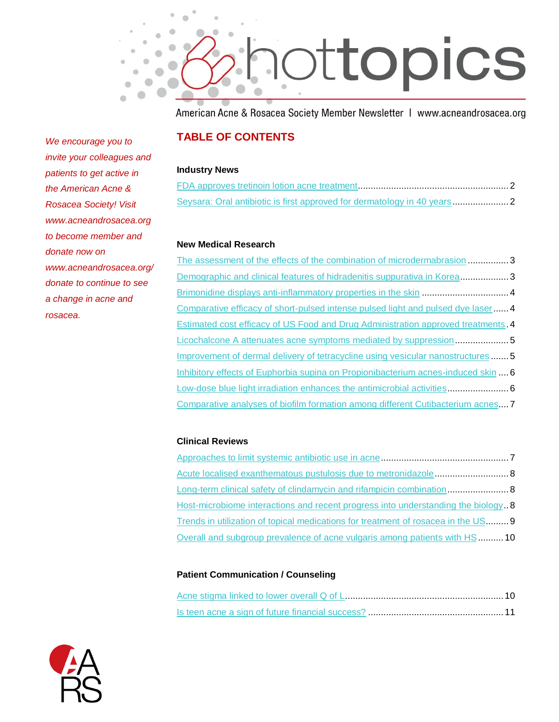

American Acne & Rosacea Society Member Newsletter | www.acneandrosacea.org

### **TABLE OF CONTENTS**

#### **Industry News**

#### **New Medical Research**

[The assessment of the effects of the combination of microdermabrasion.](#page-3-0)..............3 [Demographic and clinical features of hidradenitis suppurativa in Korea.](#page-3-1).................3 [Brimonidine displays anti-inflammatory properties in the skin](#page-4-0) ..................................4 [Comparative efficacy of short-pulsed intense pulsed light and pulsed dye laser.](#page-4-1).....4 [Estimated cost efficacy of US Food and Drug Administration approved treatments.](#page-4-2)4 [Licochalcone A attenuates acne symptoms mediated by suppression.](#page-5-0)....................5 [Improvement of dermal delivery of tetracycline using vesicular nanostructures](#page-5-1) .......5 [Inhibitory effects of Euphorbia supina on Propionibacterium acnes-induced skin](#page-6-0) ....6 [Low-dose blue light irradiation enhances the antimicrobial activities.](#page-6-1).......................6 [Comparative analyses of biofilm formation among different Cutibacterium](#page-7-0) acnes....7

### **Clinical Reviews**

| Acute localised exanthematous pustulosis due to metronidazole 8                  |  |
|----------------------------------------------------------------------------------|--|
| Long-term clinical safety of clindamycin and rifampicin combination 8            |  |
| Host-microbiome interactions and recent progress into understanding the biology8 |  |
| Trends in utilization of topical medications for treatment of rosacea in the US9 |  |
| Overall and subgroup prevalence of acne vulgaris among patients with HS  10      |  |

### **Patient Communication / Counseling**



*We encourage you to invite your colleagues and patients to get active in the American Acne & Rosacea Society! Visit www.acneandrosacea.org to become member and donate now on www.acneandrosacea.org/ donate to continue to see a change in acne and rosacea.*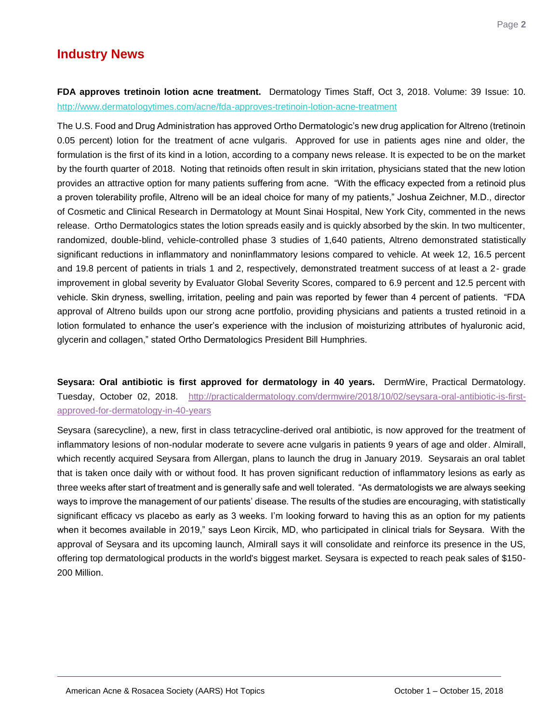### **Industry News**

<span id="page-2-0"></span>**FDA approves tretinoin lotion acne treatment.** Dermatology Times Staff, Oct 3, 2018. Volume: 39 Issue: 10. <http://www.dermatologytimes.com/acne/fda-approves-tretinoin-lotion-acne-treatment>

The U.S. Food and Drug Administration has approved Ortho Dermatologic's new drug application for Altreno (tretinoin 0.05 percent) lotion for the treatment of acne vulgaris. Approved for use in patients ages nine and older, the formulation is the first of its kind in a lotion, according to a company news release. It is expected to be on the market by the fourth quarter of 2018. Noting that retinoids often result in skin irritation, physicians stated that the new lotion provides an attractive option for many patients suffering from acne. "With the efficacy expected from a retinoid plus a proven tolerability profile, Altreno will be an ideal choice for many of my patients," Joshua Zeichner, M.D., director of Cosmetic and Clinical Research in Dermatology at Mount Sinai Hospital, New York City, commented in the news release. Ortho Dermatologics states the lotion spreads easily and is quickly absorbed by the skin. In two multicenter, randomized, double-blind, vehicle-controlled phase 3 studies of 1,640 patients, Altreno demonstrated statistically significant reductions in inflammatory and noninflammatory lesions compared to vehicle. At week 12, 16.5 percent and 19.8 percent of patients in trials 1 and 2, respectively, demonstrated treatment success of at least a 2- grade improvement in global severity by Evaluator Global Severity Scores, compared to 6.9 percent and 12.5 percent with vehicle. Skin dryness, swelling, irritation, peeling and pain was reported by fewer than 4 percent of patients. "FDA approval of Altreno builds upon our strong acne portfolio, providing physicians and patients a trusted retinoid in a lotion formulated to enhance the user's experience with the inclusion of moisturizing attributes of hyaluronic acid, glycerin and collagen," stated Ortho Dermatologics President Bill Humphries.

<span id="page-2-1"></span>**Seysara: Oral antibiotic is first approved for dermatology in 40 years.** DermWire, Practical Dermatology. Tuesday, October 02, 2018. [http://practicaldermatology.com/dermwire/2018/10/02/seysara-oral-antibiotic-is-first](http://practicaldermatology.com/dermwire/2018/10/02/seysara-oral-antibiotic-is-first-approved-for-dermatology-in-40-years)[approved-for-dermatology-in-40-years](http://practicaldermatology.com/dermwire/2018/10/02/seysara-oral-antibiotic-is-first-approved-for-dermatology-in-40-years)

Seysara (sarecycline), a new, first in class tetracycline-derived oral antibiotic, is now approved for the treatment of inflammatory lesions of non-nodular moderate to severe acne vulgaris in patients 9 years of age and older. Almirall, which recently acquired Seysara from Allergan, plans to launch the drug in January 2019. Seysarais an oral tablet that is taken once daily with or without food. It has proven significant reduction of inflammatory lesions as early as three weeks after start of treatment and is generally safe and well tolerated. "As dermatologists we are always seeking ways to improve the management of our patients' disease. The results of the studies are encouraging, with statistically significant efficacy vs placebo as early as 3 weeks. I'm looking forward to having this as an option for my patients when it becomes available in 2019," says Leon Kircik, MD, who participated in clinical trials for Seysara. With the approval of Seysara and its upcoming launch, Almirall says it will consolidate and reinforce its presence in the US, offering top dermatological products in the world's biggest market. Seysara is expected to reach peak sales of \$150- 200 Million.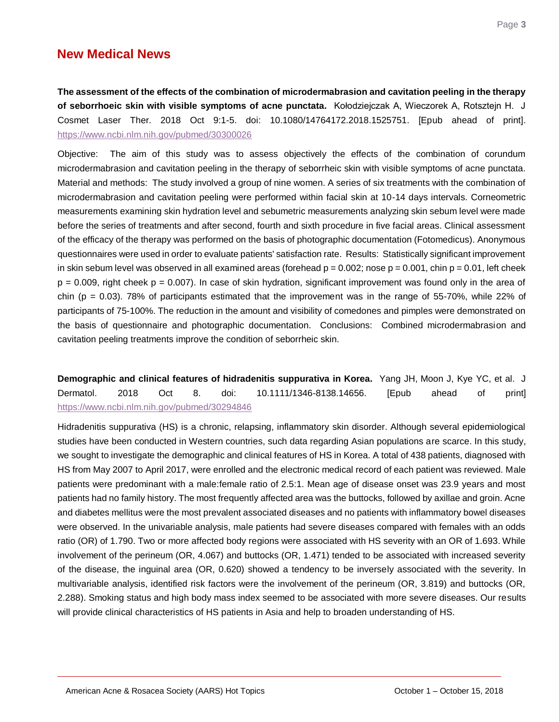### **New Medical News**

<span id="page-3-0"></span>**The assessment of the effects of the combination of microdermabrasion and cavitation peeling in the therapy of seborrhoeic skin with visible symptoms of acne punctata.** Kołodziejczak A, Wieczorek A, Rotsztejn H. J Cosmet Laser Ther. 2018 Oct 9:1-5. doi: 10.1080/14764172.2018.1525751. [Epub ahead of print]. <https://www.ncbi.nlm.nih.gov/pubmed/30300026>

Objective: The aim of this study was to assess objectively the effects of the combination of corundum microdermabrasion and cavitation peeling in the therapy of seborrheic skin with visible symptoms of acne punctata. Material and methods: The study involved a group of nine women. A series of six treatments with the combination of microdermabrasion and cavitation peeling were performed within facial skin at 10-14 days intervals. Corneometric measurements examining skin hydration level and sebumetric measurements analyzing skin sebum level were made before the series of treatments and after second, fourth and sixth procedure in five facial areas. Clinical assessment of the efficacy of the therapy was performed on the basis of photographic documentation (Fotomedicus). Anonymous questionnaires were used in order to evaluate patients' satisfaction rate. Results: Statistically significant improvement in skin sebum level was observed in all examined areas (forehead  $p = 0.002$ ; nose  $p = 0.001$ , chin  $p = 0.01$ , left cheek  $p = 0.009$ , right cheek  $p = 0.007$ ). In case of skin hydration, significant improvement was found only in the area of chin ( $p = 0.03$ ). 78% of participants estimated that the improvement was in the range of 55-70%, while 22% of participants of 75-100%. The reduction in the amount and visibility of comedones and pimples were demonstrated on the basis of questionnaire and photographic documentation. Conclusions: Combined microdermabrasion and cavitation peeling treatments improve the condition of seborrheic skin.

<span id="page-3-1"></span>**Demographic and clinical features of hidradenitis suppurativa in Korea.** Yang JH, Moon J, Kye YC, et al. J Dermatol. 2018 Oct 8. doi: 10.1111/1346-8138.14656. [Epub ahead of print] <https://www.ncbi.nlm.nih.gov/pubmed/30294846>

Hidradenitis suppurativa (HS) is a chronic, relapsing, inflammatory skin disorder. Although several epidemiological studies have been conducted in Western countries, such data regarding Asian populations are scarce. In this study, we sought to investigate the demographic and clinical features of HS in Korea. A total of 438 patients, diagnosed with HS from May 2007 to April 2017, were enrolled and the electronic medical record of each patient was reviewed. Male patients were predominant with a male:female ratio of 2.5:1. Mean age of disease onset was 23.9 years and most patients had no family history. The most frequently affected area was the buttocks, followed by axillae and groin. Acne and diabetes mellitus were the most prevalent associated diseases and no patients with inflammatory bowel diseases were observed. In the univariable analysis, male patients had severe diseases compared with females with an odds ratio (OR) of 1.790. Two or more affected body regions were associated with HS severity with an OR of 1.693. While involvement of the perineum (OR, 4.067) and buttocks (OR, 1.471) tended to be associated with increased severity of the disease, the inguinal area (OR, 0.620) showed a tendency to be inversely associated with the severity. In multivariable analysis, identified risk factors were the involvement of the perineum (OR, 3.819) and buttocks (OR, 2.288). Smoking status and high body mass index seemed to be associated with more severe diseases. Our results will provide clinical characteristics of HS patients in Asia and help to broaden understanding of HS.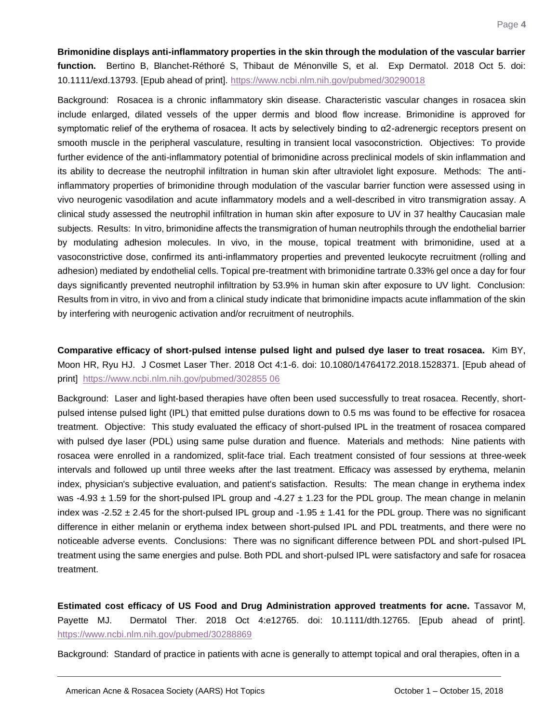<span id="page-4-0"></span>**Brimonidine displays anti-inflammatory properties in the skin through the modulation of the vascular barrier function.** Bertino B, Blanchet-Réthoré S, Thibaut de Ménonville S, et al. Exp Dermatol. 2018 Oct 5. doi: 10.1111/exd.13793. [Epub ahead of print].<https://www.ncbi.nlm.nih.gov/pubmed/30290018>

Background: Rosacea is a chronic inflammatory skin disease. Characteristic vascular changes in rosacea skin include enlarged, dilated vessels of the upper dermis and blood flow increase. Brimonidine is approved for symptomatic relief of the erythema of rosacea. It acts by selectively binding to α2-adrenergic receptors present on smooth muscle in the peripheral vasculature, resulting in transient local vasoconstriction. Objectives: To provide further evidence of the anti-inflammatory potential of brimonidine across preclinical models of skin inflammation and its ability to decrease the neutrophil infiltration in human skin after ultraviolet light exposure. Methods: The antiinflammatory properties of brimonidine through modulation of the vascular barrier function were assessed using in vivo neurogenic vasodilation and acute inflammatory models and a well-described in vitro transmigration assay. A clinical study assessed the neutrophil infiltration in human skin after exposure to UV in 37 healthy Caucasian male subjects. Results: In vitro, brimonidine affects the transmigration of human neutrophils through the endothelial barrier by modulating adhesion molecules. In vivo, in the mouse, topical treatment with brimonidine, used at a vasoconstrictive dose, confirmed its anti-inflammatory properties and prevented leukocyte recruitment (rolling and adhesion) mediated by endothelial cells. Topical pre-treatment with brimonidine tartrate 0.33% gel once a day for four days significantly prevented neutrophil infiltration by 53.9% in human skin after exposure to UV light. Conclusion: Results from in vitro, in vivo and from a clinical study indicate that brimonidine impacts acute inflammation of the skin by interfering with neurogenic activation and/or recruitment of neutrophils.

<span id="page-4-1"></span>**Comparative efficacy of short-pulsed intense pulsed light and pulsed dye laser to treat rosacea.** Kim BY, Moon HR, Ryu HJ. J Cosmet Laser Ther. 2018 Oct 4:1-6. doi: 10.1080/14764172.2018.1528371. [Epub ahead of print] [https://www.ncbi.nlm.nih.gov/pubmed/302855 06](https://www.ncbi.nlm.nih.gov/pubmed/302855%2006)

Background: Laser and light-based therapies have often been used successfully to treat rosacea. Recently, shortpulsed intense pulsed light (IPL) that emitted pulse durations down to 0.5 ms was found to be effective for rosacea treatment. Objective: This study evaluated the efficacy of short-pulsed IPL in the treatment of rosacea compared with pulsed dye laser (PDL) using same pulse duration and fluence. Materials and methods: Nine patients with rosacea were enrolled in a randomized, split-face trial. Each treatment consisted of four sessions at three-week intervals and followed up until three weeks after the last treatment. Efficacy was assessed by erythema, melanin index, physician's subjective evaluation, and patient's satisfaction. Results: The mean change in erythema index was -4.93  $\pm$  1.59 for the short-pulsed IPL group and -4.27  $\pm$  1.23 for the PDL group. The mean change in melanin index was -2.52  $\pm$  2.45 for the short-pulsed IPL group and -1.95  $\pm$  1.41 for the PDL group. There was no significant difference in either melanin or erythema index between short-pulsed IPL and PDL treatments, and there were no noticeable adverse events. Conclusions: There was no significant difference between PDL and short-pulsed IPL treatment using the same energies and pulse. Both PDL and short-pulsed IPL were satisfactory and safe for rosacea treatment.

<span id="page-4-2"></span>**Estimated cost efficacy of US Food and Drug Administration approved treatments for acne.** Tassavor M, Payette MJ. Dermatol Ther. 2018 Oct 4:e12765. doi: 10.1111/dth.12765. [Epub ahead of print]. <https://www.ncbi.nlm.nih.gov/pubmed/30288869>

Background: Standard of practice in patients with acne is generally to attempt topical and oral therapies, often in a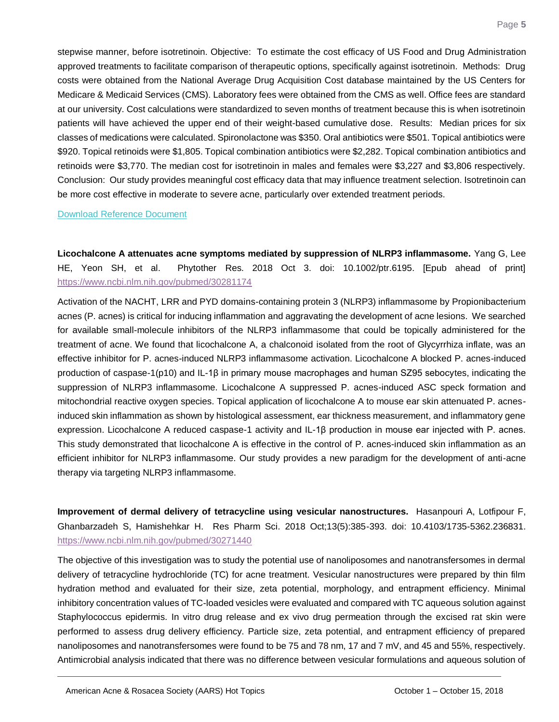stepwise manner, before isotretinoin. Objective: To estimate the cost efficacy of US Food and Drug Administration approved treatments to facilitate comparison of therapeutic options, specifically against isotretinoin. Methods: Drug costs were obtained from the National Average Drug Acquisition Cost database maintained by the US Centers for Medicare & Medicaid Services (CMS). Laboratory fees were obtained from the CMS as well. Office fees are standard at our university. Cost calculations were standardized to seven months of treatment because this is when isotretinoin patients will have achieved the upper end of their weight-based cumulative dose. Results: Median prices for six classes of medications were calculated. Spironolactone was \$350. Oral antibiotics were \$501. Topical antibiotics were \$920. Topical retinoids were \$1,805. Topical combination antibiotics were \$2,282. Topical combination antibiotics and retinoids were \$3,770. The median cost for isotretinoin in males and females were \$3,227 and \$3,806 respectively. Conclusion: Our study provides meaningful cost efficacy data that may influence treatment selection. Isotretinoin can be more cost effective in moderate to severe acne, particularly over extended treatment periods.

[Download Reference Document](http://files.constantcontact.com/c2fa20d1101/5ee57304-d9a7-48df-8582-4396aa50e700.pdf)

<span id="page-5-0"></span>**Licochalcone A attenuates acne symptoms mediated by suppression of NLRP3 inflammasome.** Yang G, Lee HE, Yeon SH, et al. Phytother Res. 2018 Oct 3. doi: 10.1002/ptr.6195. [Epub ahead of print] <https://www.ncbi.nlm.nih.gov/pubmed/30281174>

Activation of the NACHT, LRR and PYD domains-containing protein 3 (NLRP3) inflammasome by Propionibacterium acnes (P. acnes) is critical for inducing inflammation and aggravating the development of acne lesions. We searched for available small-molecule inhibitors of the NLRP3 inflammasome that could be topically administered for the treatment of acne. We found that licochalcone A, a chalconoid isolated from the root of Glycyrrhiza inflate, was an effective inhibitor for P. acnes-induced NLRP3 inflammasome activation. Licochalcone A blocked P. acnes-induced production of caspase-1(p10) and IL-1β in primary mouse macrophages and human SZ95 sebocytes, indicating the suppression of NLRP3 inflammasome. Licochalcone A suppressed P. acnes-induced ASC speck formation and mitochondrial reactive oxygen species. Topical application of licochalcone A to mouse ear skin attenuated P. acnesinduced skin inflammation as shown by histological assessment, ear thickness measurement, and inflammatory gene expression. Licochalcone A reduced caspase-1 activity and IL-1β production in mouse ear injected with P. acnes. This study demonstrated that licochalcone A is effective in the control of P. acnes-induced skin inflammation as an efficient inhibitor for NLRP3 inflammasome. Our study provides a new paradigm for the development of anti-acne therapy via targeting NLRP3 inflammasome.

<span id="page-5-1"></span>**Improvement of dermal delivery of tetracycline using vesicular nanostructures.** Hasanpouri A, Lotfipour F, Ghanbarzadeh S, Hamishehkar H. Res Pharm Sci. 2018 Oct;13(5):385-393. doi: 10.4103/1735-5362.236831. <https://www.ncbi.nlm.nih.gov/pubmed/30271440>

The objective of this investigation was to study the potential use of nanoliposomes and nanotransfersomes in dermal delivery of tetracycline hydrochloride (TC) for acne treatment. Vesicular nanostructures were prepared by thin film hydration method and evaluated for their size, zeta potential, morphology, and entrapment efficiency. Minimal inhibitory concentration values of TC-loaded vesicles were evaluated and compared with TC aqueous solution against Staphylococcus epidermis. In vitro drug release and ex vivo drug permeation through the excised rat skin were performed to assess drug delivery efficiency. Particle size, zeta potential, and entrapment efficiency of prepared nanoliposomes and nanotransfersomes were found to be 75 and 78 nm, 17 and 7 mV, and 45 and 55%, respectively. Antimicrobial analysis indicated that there was no difference between vesicular formulations and aqueous solution of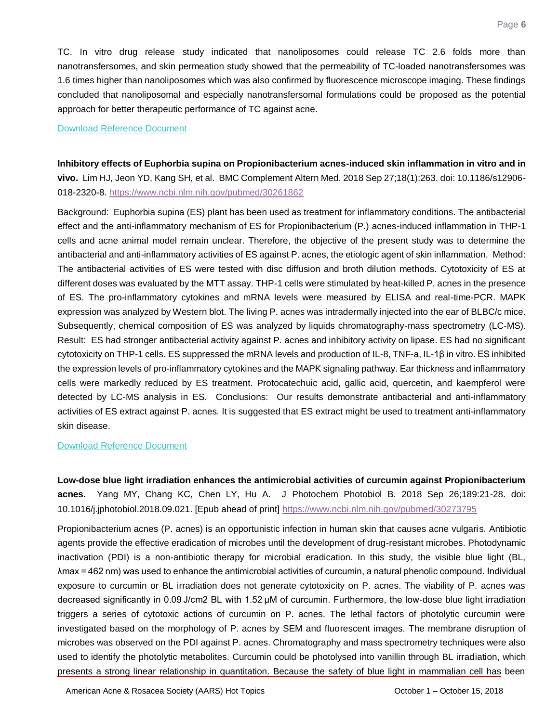TC. In vitro drug release study indicated that nanoliposomes could release TC 2.6 folds more than nanotransfersomes, and skin permeation study showed that the permeability of TC-loaded nanotransfersomes was 1.6 times higher than nanoliposomes which was also confirmed by fluorescence microscope imaging. These findings concluded that nanoliposomal and especially nanotransfersomal formulations could be proposed as the potential approach for better therapeutic performance of TC against acne.

#### [Download Reference Document](http://files.constantcontact.com/c2fa20d1101/2498e22c-fa0c-44e7-8b79-984cc6be1302.pdf)

<span id="page-6-0"></span>**Inhibitory effects of Euphorbia supina on Propionibacterium acnes-induced skin inflammation in vitro and in vivo.** Lim HJ, Jeon YD, Kang SH, et al. BMC Complement Altern Med. 2018 Sep 27;18(1):263. doi: 10.1186/s12906- 018-2320-8[. https://www.ncbi.nlm.nih.gov/pubmed/30261862](https://www.ncbi.nlm.nih.gov/pubmed/30261862)

Background: Euphorbia supina (ES) plant has been used as treatment for inflammatory conditions. The antibacterial effect and the anti-inflammatory mechanism of ES for Propionibacterium (P.) acnes-induced inflammation in THP-1 cells and acne animal model remain unclear. Therefore, the objective of the present study was to determine the antibacterial and anti-inflammatory activities of ES against P. acnes, the etiologic agent of skin inflammation. Method: The antibacterial activities of ES were tested with disc diffusion and broth dilution methods. Cytotoxicity of ES at different doses was evaluated by the MTT assay. THP-1 cells were stimulated by heat-killed P. acnes in the presence of ES. The pro-inflammatory cytokines and mRNA levels were measured by ELISA and real-time-PCR. MAPK expression was analyzed by Western blot. The living P. acnes was intradermally injected into the ear of BLBC/c mice. Subsequently, chemical composition of ES was analyzed by liquids chromatography-mass spectrometry (LC-MS). Result: ES had stronger antibacterial activity against P. acnes and inhibitory activity on lipase. ES had no significant cytotoxicity on THP-1 cells. ES suppressed the mRNA levels and production of IL-8, TNF-a, IL-1β in vitro. ES inhibited the expression levels of pro-inflammatory cytokines and the MAPK signaling pathway. Ear thickness and inflammatory cells were markedly reduced by ES treatment. Protocatechuic acid, gallic acid, quercetin, and kaempferol were detected by LC-MS analysis in ES. Conclusions: Our results demonstrate antibacterial and anti-inflammatory activities of ES extract against P. acnes. It is suggested that ES extract might be used to treatment anti-inflammatory skin disease.

### [Download Reference Document](http://files.constantcontact.com/c2fa20d1101/0a4a37ed-bd06-429c-b936-139616f9b21f.pdf)

<span id="page-6-1"></span>**Low-dose blue light irradiation enhances the antimicrobial activities of curcumin against Propionibacterium acnes.** Yang MY, Chang KC, Chen LY, Hu A. J Photochem Photobiol B. 2018 Sep 26;189:21-28. doi: 10.1016/j.jphotobiol.2018.09.021. [Epub ahead of print]<https://www.ncbi.nlm.nih.gov/pubmed/30273795>

Propionibacterium acnes (P. acnes) is an opportunistic infection in human skin that causes acne vulgaris. Antibiotic agents provide the effective eradication of microbes until the development of drug-resistant microbes. Photodynamic inactivation (PDI) is a non-antibiotic therapy for microbial eradication. In this study, the visible blue light (BL, λmax = 462 nm) was used to enhance the antimicrobial activities of curcumin, a natural phenolic compound. Individual exposure to curcumin or BL irradiation does not generate cytotoxicity on P. acnes. The viability of P. acnes was decreased significantly in 0.09 J/cm2 BL with 1.52 μM of curcumin. Furthermore, the low-dose blue light irradiation triggers a series of cytotoxic actions of curcumin on P. acnes. The lethal factors of photolytic curcumin were investigated based on the morphology of P. acnes by SEM and fluorescent images. The membrane disruption of microbes was observed on the PDI against P. acnes. Chromatography and mass spectrometry techniques were also used to identify the photolytic metabolites. Curcumin could be photolysed into vanillin through BL irradiation, which presents a strong linear relationship in quantitation. Because the safety of blue light in mammalian cell has been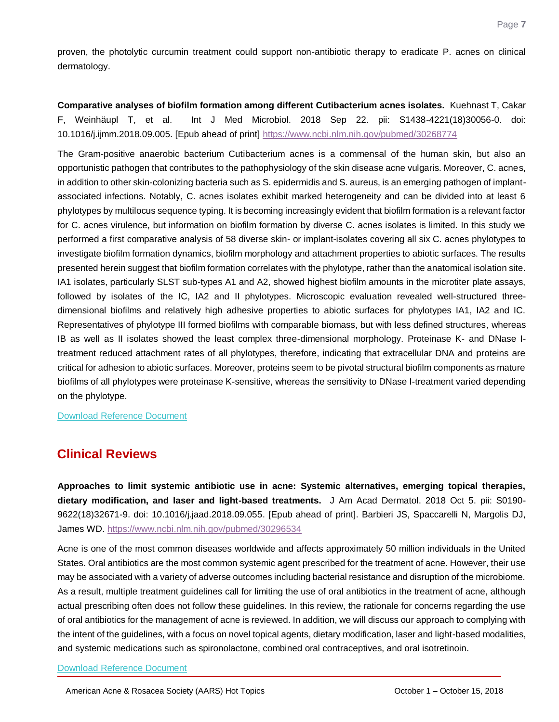proven, the photolytic curcumin treatment could support non-antibiotic therapy to eradicate P. acnes on clinical dermatology.

<span id="page-7-0"></span>**Comparative analyses of biofilm formation among different Cutibacterium acnes isolates.** Kuehnast T, Cakar F, Weinhäupl T, et al. Int J Med Microbiol. 2018 Sep 22. pii: S1438-4221(18)30056-0. doi: 10.1016/j.ijmm.2018.09.005. [Epub ahead of print]<https://www.ncbi.nlm.nih.gov/pubmed/30268774>

The Gram-positive anaerobic bacterium Cutibacterium acnes is a commensal of the human skin, but also an opportunistic pathogen that contributes to the pathophysiology of the skin disease acne vulgaris. Moreover, C. acnes, in addition to other skin-colonizing bacteria such as S. epidermidis and S. aureus, is an emerging pathogen of implantassociated infections. Notably, C. acnes isolates exhibit marked heterogeneity and can be divided into at least 6 phylotypes by multilocus sequence typing. It is becoming increasingly evident that biofilm formation is a relevant factor for C. acnes virulence, but information on biofilm formation by diverse C. acnes isolates is limited. In this study we performed a first comparative analysis of 58 diverse skin- or implant-isolates covering all six C. acnes phylotypes to investigate biofilm formation dynamics, biofilm morphology and attachment properties to abiotic surfaces. The results presented herein suggest that biofilm formation correlates with the phylotype, rather than the anatomical isolation site. IA1 isolates, particularly SLST sub-types A1 and A2, showed highest biofilm amounts in the microtiter plate assays, followed by isolates of the IC, IA2 and II phylotypes. Microscopic evaluation revealed well-structured threedimensional biofilms and relatively high adhesive properties to abiotic surfaces for phylotypes IA1, IA2 and IC. Representatives of phylotype III formed biofilms with comparable biomass, but with less defined structures, whereas IB as well as II isolates showed the least complex three-dimensional morphology. Proteinase K- and DNase Itreatment reduced attachment rates of all phylotypes, therefore, indicating that extracellular DNA and proteins are critical for adhesion to abiotic surfaces. Moreover, proteins seem to be pivotal structural biofilm components as mature biofilms of all phylotypes were proteinase K-sensitive, whereas the sensitivity to DNase I-treatment varied depending on the phylotype.

[Download Reference Document](http://files.constantcontact.com/c2fa20d1101/4533a0c6-c16c-4fa8-bc15-7e5dd34d90f4.pdf)

### **Clinical Reviews**

<span id="page-7-1"></span>**Approaches to limit systemic antibiotic use in acne: Systemic alternatives, emerging topical therapies, dietary modification, and laser and light-based treatments.** J Am Acad Dermatol. 2018 Oct 5. pii: S0190- 9622(18)32671-9. doi: 10.1016/j.jaad.2018.09.055. [Epub ahead of print]. Barbieri JS, Spaccarelli N, Margolis DJ, James WD.<https://www.ncbi.nlm.nih.gov/pubmed/30296534>

Acne is one of the most common diseases worldwide and affects approximately 50 million individuals in the United States. Oral antibiotics are the most common systemic agent prescribed for the treatment of acne. However, their use may be associated with a variety of adverse outcomes including bacterial resistance and disruption of the microbiome. As a result, multiple treatment guidelines call for limiting the use of oral antibiotics in the treatment of acne, although actual prescribing often does not follow these guidelines. In this review, the rationale for concerns regarding the use of oral antibiotics for the management of acne is reviewed. In addition, we will discuss our approach to complying with the intent of the guidelines, with a focus on novel topical agents, dietary modification, laser and light-based modalities, and systemic medications such as spironolactone, combined oral contraceptives, and oral isotretinoin.

[Download Reference Document](http://files.constantcontact.com/c2fa20d1101/a0322733-bef4-4db5-a580-74b8ae27dcfb.pdf)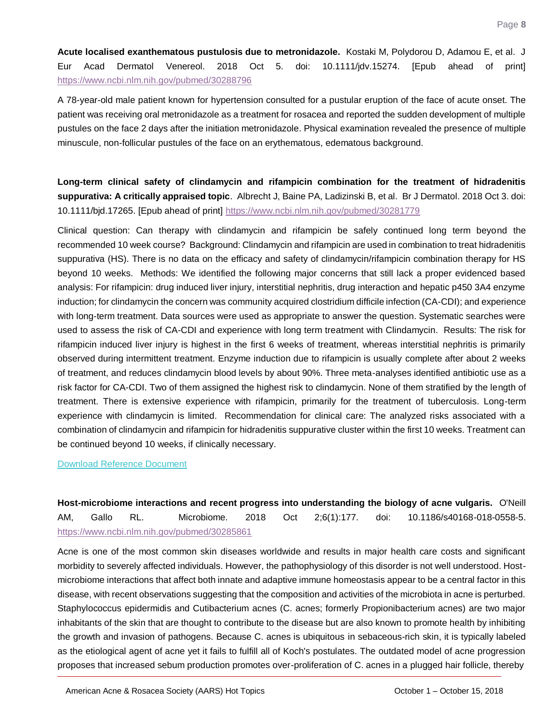<span id="page-8-0"></span>**Acute localised exanthematous pustulosis due to metronidazole.** Kostaki M, Polydorou D, Adamou E, et al. J Eur Acad Dermatol Venereol. 2018 Oct 5. doi: 10.1111/jdv.15274. [Epub ahead of print] <https://www.ncbi.nlm.nih.gov/pubmed/30288796>

A 78-year-old male patient known for hypertension consulted for a pustular eruption of the face of acute onset. The patient was receiving oral metronidazole as a treatment for rosacea and reported the sudden development of multiple pustules on the face 2 days after the initiation metronidazole. Physical examination revealed the presence of multiple minuscule, non-follicular pustules of the face on an erythematous, edematous background.

<span id="page-8-1"></span>**Long-term clinical safety of clindamycin and rifampicin combination for the treatment of hidradenitis suppurativa: A critically appraised topic**. Albrecht J, Baine PA, Ladizinski B, et al. Br J Dermatol. 2018 Oct 3. doi: 10.1111/bjd.17265. [Epub ahead of print]<https://www.ncbi.nlm.nih.gov/pubmed/30281779>

Clinical question: Can therapy with clindamycin and rifampicin be safely continued long term beyond the recommended 10 week course? Background: Clindamycin and rifampicin are used in combination to treat hidradenitis suppurativa (HS). There is no data on the efficacy and safety of clindamycin/rifampicin combination therapy for HS beyond 10 weeks. Methods: We identified the following major concerns that still lack a proper evidenced based analysis: For rifampicin: drug induced liver injury, interstitial nephritis, drug interaction and hepatic p450 3A4 enzyme induction; for clindamycin the concern was community acquired clostridium difficile infection (CA-CDI); and experience with long-term treatment. Data sources were used as appropriate to answer the question. Systematic searches were used to assess the risk of CA-CDI and experience with long term treatment with Clindamycin. Results: The risk for rifampicin induced liver injury is highest in the first 6 weeks of treatment, whereas interstitial nephritis is primarily observed during intermittent treatment. Enzyme induction due to rifampicin is usually complete after about 2 weeks of treatment, and reduces clindamycin blood levels by about 90%. Three meta-analyses identified antibiotic use as a risk factor for CA-CDI. Two of them assigned the highest risk to clindamycin. None of them stratified by the length of treatment. There is extensive experience with rifampicin, primarily for the treatment of tuberculosis. Long-term experience with clindamycin is limited. Recommendation for clinical care: The analyzed risks associated with a combination of clindamycin and rifampicin for hidradenitis suppurative cluster within the first 10 weeks. Treatment can be continued beyond 10 weeks, if clinically necessary.

### [Download Reference Document](http://files.constantcontact.com/c2fa20d1101/8da11ebd-d161-400e-a427-133eea2a1393.pdf)

<span id="page-8-2"></span>**Host-microbiome interactions and recent progress into understanding the biology of acne vulgaris.** O'Neill AM, Gallo RL. Microbiome. 2018 Oct 2;6(1):177. doi: 10.1186/s40168-018-0558-5. <https://www.ncbi.nlm.nih.gov/pubmed/30285861>

Acne is one of the most common skin diseases worldwide and results in major health care costs and significant morbidity to severely affected individuals. However, the pathophysiology of this disorder is not well understood. Hostmicrobiome interactions that affect both innate and adaptive immune homeostasis appear to be a central factor in this disease, with recent observations suggesting that the composition and activities of the microbiota in acne is perturbed. Staphylococcus epidermidis and Cutibacterium acnes (C. acnes; formerly Propionibacterium acnes) are two major inhabitants of the skin that are thought to contribute to the disease but are also known to promote health by inhibiting the growth and invasion of pathogens. Because C. acnes is ubiquitous in sebaceous-rich skin, it is typically labeled as the etiological agent of acne yet it fails to fulfill all of Koch's postulates. The outdated model of acne progression proposes that increased sebum production promotes over-proliferation of C. acnes in a plugged hair follicle, thereby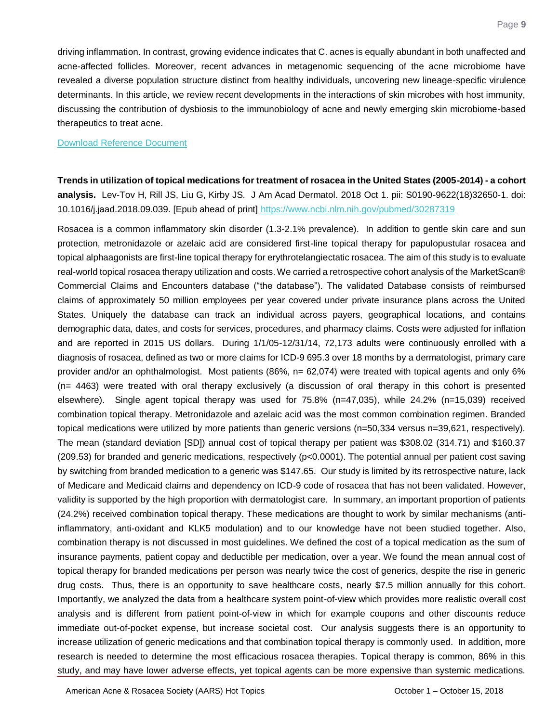driving inflammation. In contrast, growing evidence indicates that C. acnes is equally abundant in both unaffected and acne-affected follicles. Moreover, recent advances in metagenomic sequencing of the acne microbiome have revealed a diverse population structure distinct from healthy individuals, uncovering new lineage-specific virulence determinants. In this article, we review recent developments in the interactions of skin microbes with host immunity, discussing the contribution of dysbiosis to the immunobiology of acne and newly emerging skin microbiome-based therapeutics to treat acne.

### [Download Reference Document](http://files.constantcontact.com/c2fa20d1101/b97cbcb8-ce8f-4b56-a532-9e93ecbd80c5.pdf)

<span id="page-9-0"></span>**Trends in utilization of topical medications for treatment of rosacea in the United States (2005-2014) - a cohort analysis.** Lev-Tov H, Rill JS, Liu G, Kirby JS. J Am Acad Dermatol. 2018 Oct 1. pii: S0190-9622(18)32650-1. doi: 10.1016/j.jaad.2018.09.039. [Epub ahead of print]<https://www.ncbi.nlm.nih.gov/pubmed/30287319>

Rosacea is a common inflammatory skin disorder (1.3-2.1% prevalence). In addition to gentle skin care and sun protection, metronidazole or azelaic acid are considered first-line topical therapy for papulopustular rosacea and topical alphaagonists are first-line topical therapy for erythrotelangiectatic rosacea. The aim of this study is to evaluate real-world topical rosacea therapy utilization and costs. We carried a retrospective cohort analysis of the MarketScan® Commercial Claims and Encounters database ("the database"). The validated Database consists of reimbursed claims of approximately 50 million employees per year covered under private insurance plans across the United States. Uniquely the database can track an individual across payers, geographical locations, and contains demographic data, dates, and costs for services, procedures, and pharmacy claims. Costs were adjusted for inflation and are reported in 2015 US dollars. During 1/1/05-12/31/14, 72,173 adults were continuously enrolled with a diagnosis of rosacea, defined as two or more claims for ICD-9 695.3 over 18 months by a dermatologist, primary care provider and/or an ophthalmologist. Most patients (86%, n= 62,074) were treated with topical agents and only 6% (n= 4463) were treated with oral therapy exclusively (a discussion of oral therapy in this cohort is presented elsewhere). Single agent topical therapy was used for 75.8% (n=47,035), while 24.2% (n=15,039) received combination topical therapy. Metronidazole and azelaic acid was the most common combination regimen. Branded topical medications were utilized by more patients than generic versions (n=50,334 versus n=39,621, respectively). The mean (standard deviation [SD]) annual cost of topical therapy per patient was \$308.02 (314.71) and \$160.37 (209.53) for branded and generic medications, respectively (p<0.0001). The potential annual per patient cost saving by switching from branded medication to a generic was \$147.65. Our study is limited by its retrospective nature, lack of Medicare and Medicaid claims and dependency on ICD-9 code of rosacea that has not been validated. However, validity is supported by the high proportion with dermatologist care. In summary, an important proportion of patients (24.2%) received combination topical therapy. These medications are thought to work by similar mechanisms (antiinflammatory, anti-oxidant and KLK5 modulation) and to our knowledge have not been studied together. Also, combination therapy is not discussed in most guidelines. We defined the cost of a topical medication as the sum of insurance payments, patient copay and deductible per medication, over a year. We found the mean annual cost of topical therapy for branded medications per person was nearly twice the cost of generics, despite the rise in generic drug costs. Thus, there is an opportunity to save healthcare costs, nearly \$7.5 million annually for this cohort. Importantly, we analyzed the data from a healthcare system point-of-view which provides more realistic overall cost analysis and is different from patient point-of-view in which for example coupons and other discounts reduce immediate out-of-pocket expense, but increase societal cost. Our analysis suggests there is an opportunity to increase utilization of generic medications and that combination topical therapy is commonly used. In addition, more research is needed to determine the most efficacious rosacea therapies. Topical therapy is common, 86% in this study, and may have lower adverse effects, yet topical agents can be more expensive than systemic medications.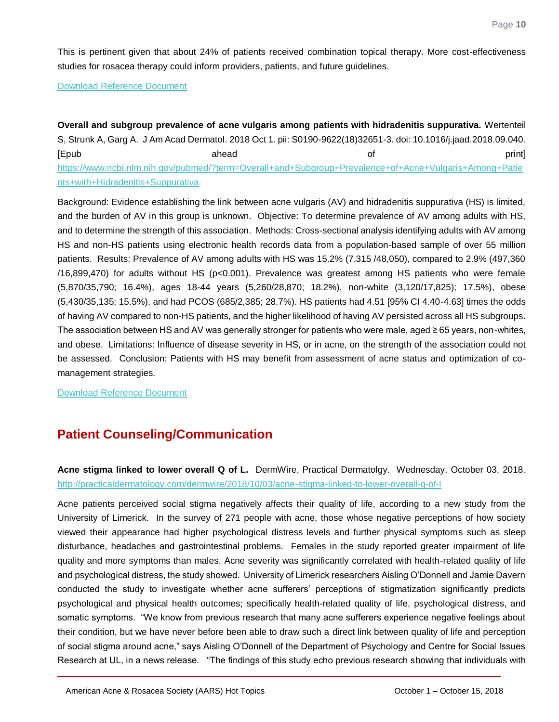This is pertinent given that about 24% of patients received combination topical therapy. More cost-effectiveness studies for rosacea therapy could inform providers, patients, and future guidelines.

[Download Reference Document](http://files.constantcontact.com/c2fa20d1101/bb5009ad-79e7-42e6-8ee3-15713597537d.pdf)

<span id="page-10-0"></span>**Overall and subgroup prevalence of acne vulgaris among patients with hidradenitis suppurativa.** Wertenteil S, Strunk A, Garg A. J Am Acad Dermatol. 2018 Oct 1. pii: S0190-9622(18)32651-3. doi: 10.1016/j.jaad.2018.09.040. [Epub ahead of print] [https://www.ncbi.nlm.nih.gov/pubmed/?term=Overall+and+Subgroup+Prevalence+of+Acne+Vulgaris+Among+Patie](https://www.ncbi.nlm.nih.gov/pubmed/?term=Overall+and+Subgroup+Prevalence+of+Acne+Vulgaris+Among+Patients+with+Hidradenitis+Suppurativa) [nts+with+Hidradenitis+Suppurativa](https://www.ncbi.nlm.nih.gov/pubmed/?term=Overall+and+Subgroup+Prevalence+of+Acne+Vulgaris+Among+Patients+with+Hidradenitis+Suppurativa)

Background: Evidence establishing the link between acne vulgaris (AV) and hidradenitis suppurativa (HS) is limited, and the burden of AV in this group is unknown. Objective: To determine prevalence of AV among adults with HS, and to determine the strength of this association. Methods: Cross-sectional analysis identifying adults with AV among HS and non-HS patients using electronic health records data from a population-based sample of over 55 million patients. Results: Prevalence of AV among adults with HS was 15.2% (7,315 /48,050), compared to 2.9% (497,360 /16,899,470) for adults without HS (p<0.001). Prevalence was greatest among HS patients who were female (5,870/35,790; 16.4%), ages 18-44 years (5,260/28,870; 18.2%), non-white (3,120/17,825); 17.5%), obese (5,430/35,135; 15.5%), and had PCOS (685/2,385; 28.7%). HS patients had 4.51 [95% CI 4.40-4.63] times the odds of having AV compared to non-HS patients, and the higher likelihood of having AV persisted across all HS subgroups. The association between HS and AV was generally stronger for patients who were male, aged ≥ 65 years, non-whites, and obese. Limitations: Influence of disease severity in HS, or in acne, on the strength of the association could not be assessed. Conclusion: Patients with HS may benefit from assessment of acne status and optimization of comanagement strategies.

[Download Reference Document](http://files.constantcontact.com/c2fa20d1101/710a8fcb-774a-471f-a1d5-7b0f8eb994af.pdf)

### **Patient Counseling/Communication**

<span id="page-10-1"></span>**Acne stigma linked to lower overall Q of L.** DermWire, Practical Dermatolgy. Wednesday, October 03, 2018. <http://practicaldermatology.com/dermwire/2018/10/03/acne-stigma-linked-to-lower-overall-q-of-l>

Acne patients perceived social stigma negatively affects their quality of life, according to a new study from the University of Limerick. In the survey of 271 people with acne, those whose negative perceptions of how society viewed their appearance had higher psychological distress levels and further physical symptoms such as sleep disturbance, headaches and gastrointestinal problems. Females in the study reported greater impairment of life quality and more symptoms than males. Acne severity was significantly correlated with health-related quality of life and psychological distress, the study showed. University of Limerick researchers Aisling O'Donnell and Jamie Davern conducted the study to investigate whether acne sufferers' perceptions of stigmatization significantly predicts psychological and physical health outcomes; specifically health-related quality of life, psychological distress, and somatic symptoms. "We know from previous research that many acne sufferers experience negative feelings about their condition, but we have never before been able to draw such a direct link between quality of life and perception of social stigma around acne," says Aisling O'Donnell of the Department of Psychology and Centre for Social Issues Research at UL, in a news release. "The findings of this study echo previous research showing that individuals with